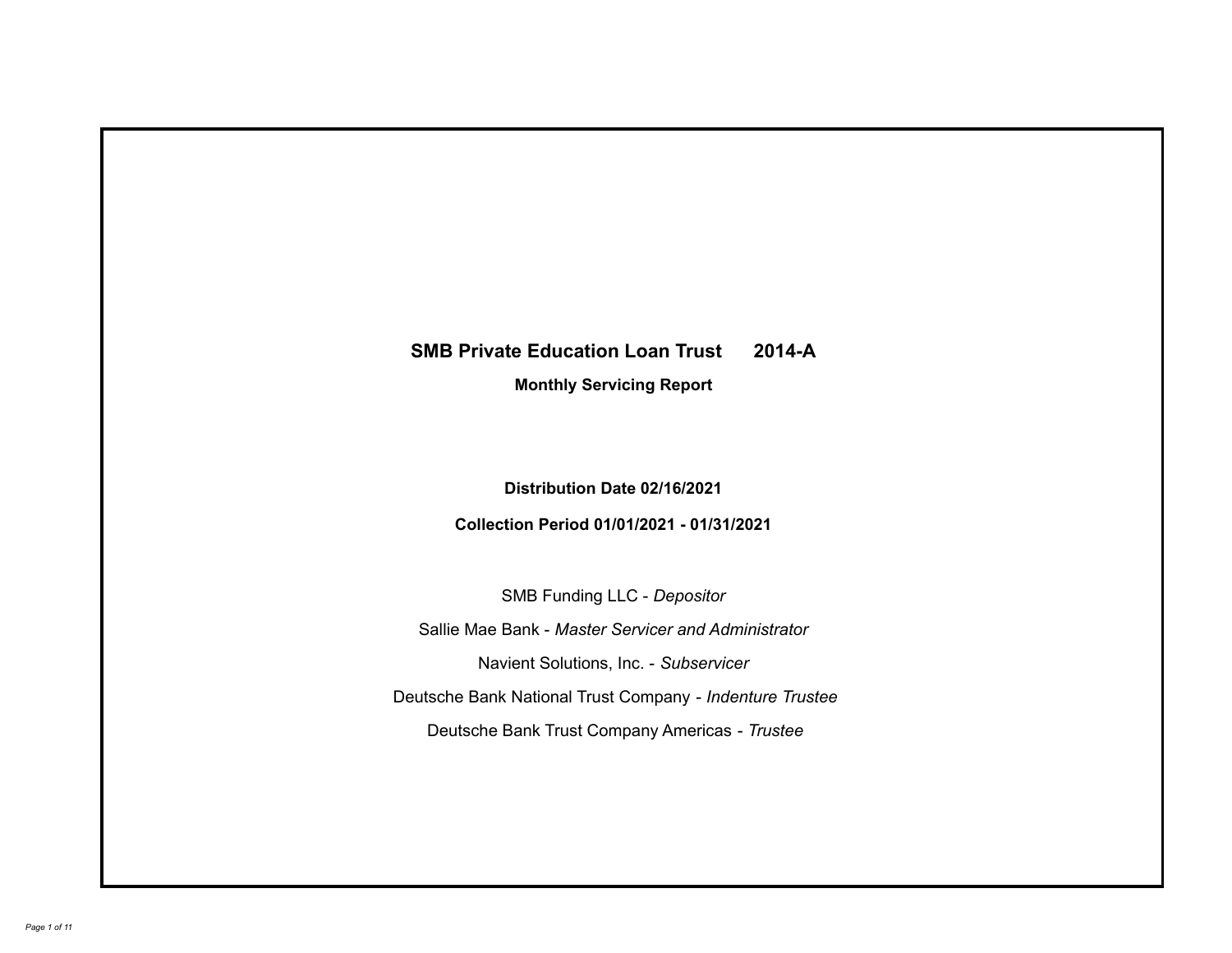## **SMB Private Education Loan Trust 2014-A**

**Monthly Servicing Report**

**Distribution Date 02/16/2021**

**Collection Period 01/01/2021 - 01/31/2021**

SMB Funding LLC - *Depositor*

Sallie Mae Bank - *Master Servicer and Administrator*

Navient Solutions, Inc. - *Subservicer*

Deutsche Bank National Trust Company - *Indenture Trustee*

Deutsche Bank Trust Company Americas - *Trustee*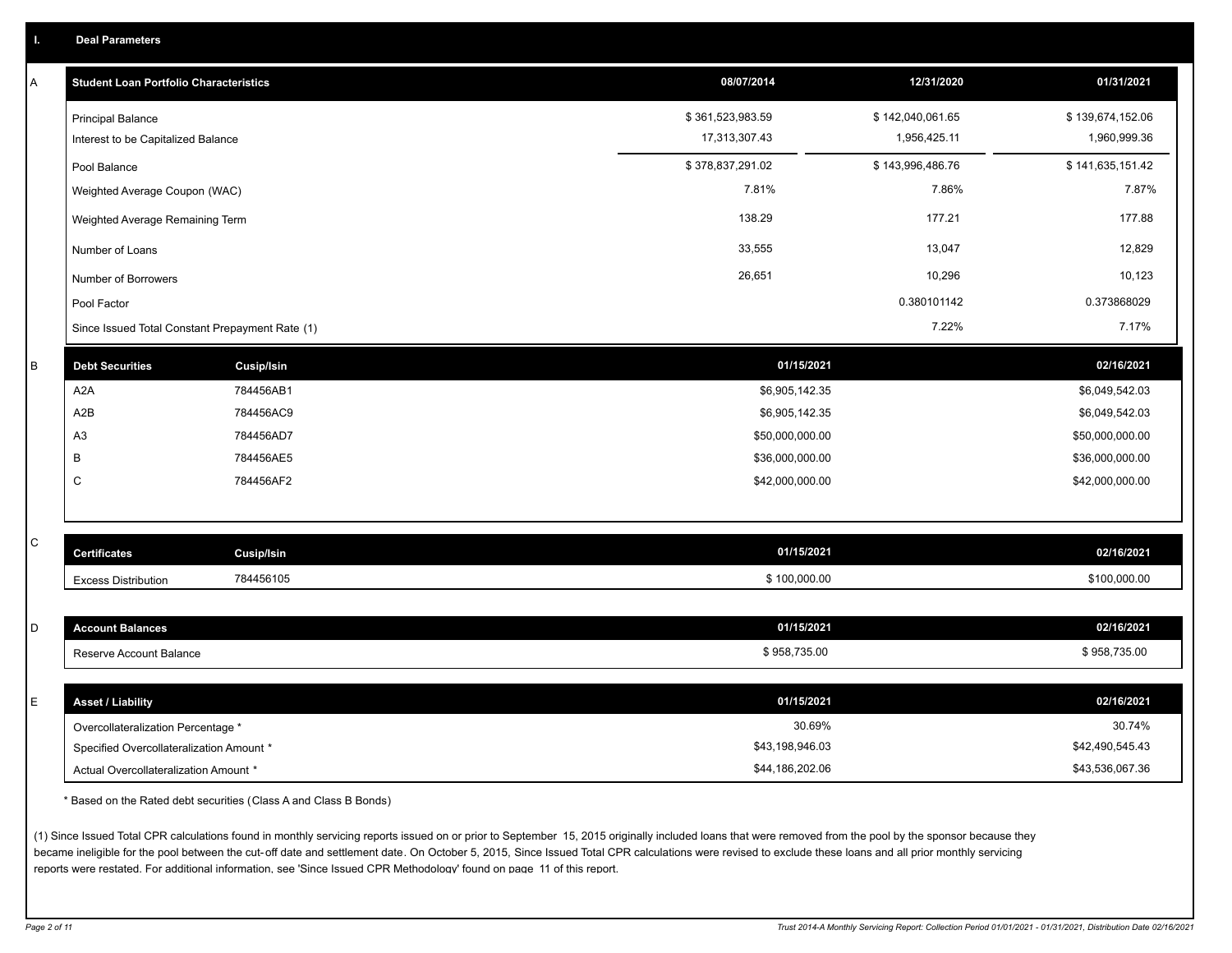| A           | <b>Student Loan Portfolio Characteristics</b>   |                   | 08/07/2014       | 12/31/2020       | 01/31/2021       |
|-------------|-------------------------------------------------|-------------------|------------------|------------------|------------------|
|             | <b>Principal Balance</b>                        |                   | \$361,523,983.59 | \$142,040,061.65 | \$139,674,152.06 |
|             | Interest to be Capitalized Balance              |                   | 17,313,307.43    | 1,956,425.11     | 1,960,999.36     |
|             | Pool Balance                                    |                   | \$378,837,291.02 | \$143,996,486.76 | \$141,635,151.42 |
|             | Weighted Average Coupon (WAC)                   |                   | 7.81%            | 7.86%            | 7.87%            |
|             | Weighted Average Remaining Term                 |                   | 138.29           | 177.21           | 177.88           |
|             | Number of Loans                                 |                   | 33,555           | 13,047           | 12,829           |
|             | Number of Borrowers                             |                   | 26,651           | 10,296           | 10,123           |
|             | Pool Factor                                     |                   |                  | 0.380101142      | 0.373868029      |
|             | Since Issued Total Constant Prepayment Rate (1) |                   |                  | 7.22%            | 7.17%            |
| $\sf B$     | <b>Debt Securities</b>                          | <b>Cusip/Isin</b> | 01/15/2021       |                  | 02/16/2021       |
|             | A <sub>2</sub> A                                | 784456AB1         | \$6,905,142.35   |                  | \$6,049,542.03   |
|             | A2B                                             | 784456AC9         | \$6,905,142.35   |                  | \$6,049,542.03   |
|             | A <sub>3</sub>                                  | 784456AD7         | \$50,000,000.00  |                  | \$50,000,000.00  |
|             | B                                               | 784456AE5         | \$36,000,000.00  |                  | \$36,000,000.00  |
|             | $\mathsf C$                                     | 784456AF2         | \$42,000,000.00  |                  | \$42,000,000.00  |
|             |                                                 |                   |                  |                  |                  |
| $\mathbf C$ |                                                 |                   | 01/15/2021       |                  |                  |
|             | <b>Certificates</b>                             | Cusip/Isin        |                  |                  | 02/16/2021       |
|             | <b>Excess Distribution</b>                      | 784456105         | \$100,000.00     |                  | \$100,000.00     |
| D           | <b>Account Balances</b>                         |                   | 01/15/2021       |                  | 02/16/2021       |
|             | Reserve Account Balance                         |                   | \$958,735.00     |                  | \$958,735.00     |
|             |                                                 |                   |                  |                  |                  |
| E           | <b>Asset / Liability</b>                        |                   | 01/15/2021       |                  | 02/16/2021       |
|             | Overcollateralization Percentage *              |                   | 30.69%           |                  | 30.74%           |
|             | Specified Overcollateralization Amount *        |                   | \$43,198,946.03  |                  | \$42,490,545.43  |
|             | Actual Overcollateralization Amount *           |                   | \$44,186,202.06  |                  | \$43,536,067.36  |

\* Based on the Rated debt securities (Class A and Class B Bonds)

(1) Since Issued Total CPR calculations found in monthly servicing reports issued on or prior to September 15, 2015 originally included loans that were removed from the pool by the sponsor because they became ineligible for the pool between the cut-off date and settlement date. On October 5, 2015, Since Issued Total CPR calculations were revised to exclude these loans and all prior monthly servicing reports were restated. For additional information, see 'Since Issued CPR Methodology' found on page 11 of this report.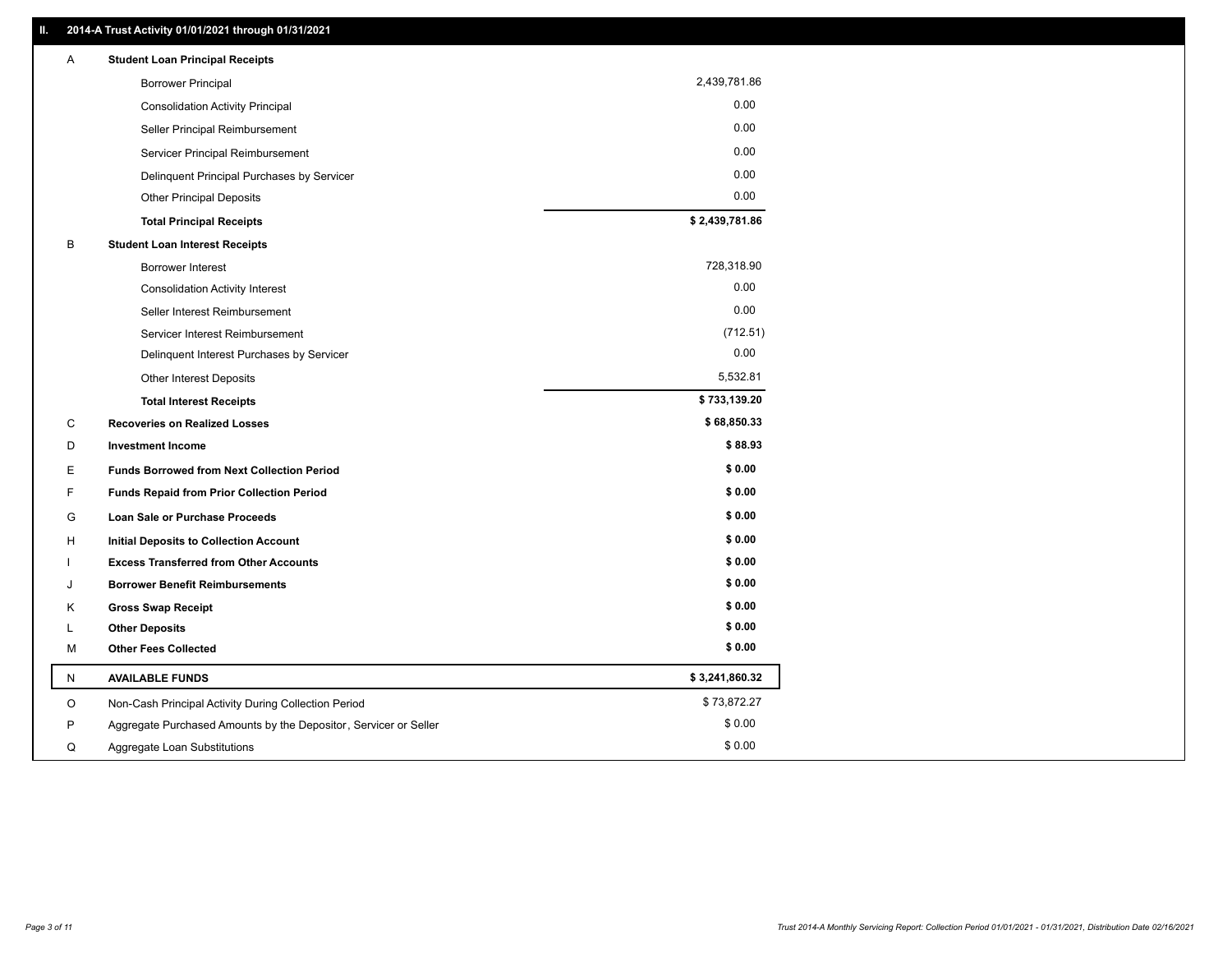| 2,439,781.86<br><b>Borrower Principal</b><br>0.00                               |  |
|---------------------------------------------------------------------------------|--|
|                                                                                 |  |
| <b>Consolidation Activity Principal</b>                                         |  |
| 0.00<br>Seller Principal Reimbursement                                          |  |
| 0.00<br>Servicer Principal Reimbursement                                        |  |
| 0.00<br>Delinquent Principal Purchases by Servicer                              |  |
| 0.00<br><b>Other Principal Deposits</b>                                         |  |
| \$2,439,781.86<br><b>Total Principal Receipts</b>                               |  |
| B<br><b>Student Loan Interest Receipts</b>                                      |  |
| 728,318.90<br><b>Borrower Interest</b>                                          |  |
| 0.00<br><b>Consolidation Activity Interest</b>                                  |  |
| 0.00<br>Seller Interest Reimbursement                                           |  |
| (712.51)<br>Servicer Interest Reimbursement                                     |  |
| 0.00<br>Delinquent Interest Purchases by Servicer                               |  |
| 5,532.81<br><b>Other Interest Deposits</b>                                      |  |
| \$733,139.20<br><b>Total Interest Receipts</b>                                  |  |
| \$68,850.33<br>С<br><b>Recoveries on Realized Losses</b>                        |  |
| \$88.93<br>D<br><b>Investment Income</b>                                        |  |
| \$0.00<br>Е<br><b>Funds Borrowed from Next Collection Period</b>                |  |
| \$0.00<br>F<br>Funds Repaid from Prior Collection Period                        |  |
| \$0.00<br>G<br><b>Loan Sale or Purchase Proceeds</b>                            |  |
| \$0.00<br>н<br><b>Initial Deposits to Collection Account</b>                    |  |
| \$0.00<br><b>Excess Transferred from Other Accounts</b>                         |  |
| \$0.00<br><b>Borrower Benefit Reimbursements</b><br>J                           |  |
| \$0.00<br>Κ<br><b>Gross Swap Receipt</b>                                        |  |
| \$0.00<br><b>Other Deposits</b><br>L                                            |  |
| \$0.00<br><b>Other Fees Collected</b><br>м                                      |  |
| \$3,241,860.32<br><b>AVAILABLE FUNDS</b><br>N                                   |  |
| \$73,872.27<br>O<br>Non-Cash Principal Activity During Collection Period        |  |
| \$0.00<br>P<br>Aggregate Purchased Amounts by the Depositor, Servicer or Seller |  |
| \$0.00<br>Q<br>Aggregate Loan Substitutions                                     |  |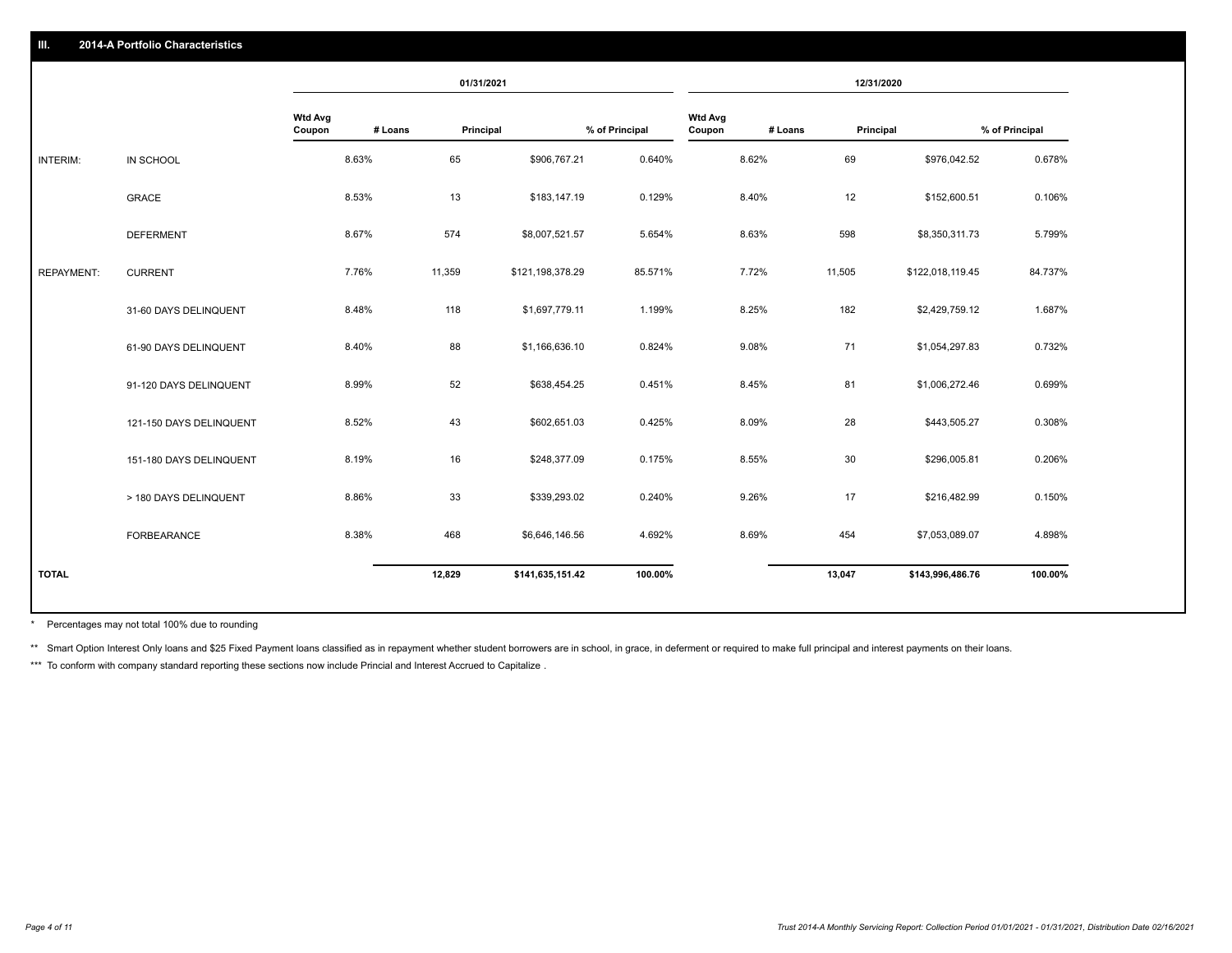|                   |                         |                          |         | 01/31/2021 |                  |                |                          |         | 12/31/2020 |                  |                |
|-------------------|-------------------------|--------------------------|---------|------------|------------------|----------------|--------------------------|---------|------------|------------------|----------------|
|                   |                         | <b>Wtd Avg</b><br>Coupon | # Loans | Principal  |                  | % of Principal | <b>Wtd Avg</b><br>Coupon | # Loans | Principal  |                  | % of Principal |
| INTERIM:          | IN SCHOOL               |                          | 8.63%   | 65         | \$906,767.21     | 0.640%         |                          | 8.62%   | 69         | \$976,042.52     | 0.678%         |
|                   | <b>GRACE</b>            |                          | 8.53%   | 13         | \$183,147.19     | 0.129%         |                          | 8.40%   | 12         | \$152,600.51     | 0.106%         |
|                   | <b>DEFERMENT</b>        |                          | 8.67%   | 574        | \$8,007,521.57   | 5.654%         |                          | 8.63%   | 598        | \$8,350,311.73   | 5.799%         |
| <b>REPAYMENT:</b> | <b>CURRENT</b>          |                          | 7.76%   | 11,359     | \$121,198,378.29 | 85.571%        |                          | 7.72%   | 11,505     | \$122,018,119.45 | 84.737%        |
|                   | 31-60 DAYS DELINQUENT   |                          | 8.48%   | 118        | \$1,697,779.11   | 1.199%         |                          | 8.25%   | 182        | \$2,429,759.12   | 1.687%         |
|                   | 61-90 DAYS DELINQUENT   |                          | 8.40%   | 88         | \$1,166,636.10   | 0.824%         |                          | 9.08%   | 71         | \$1,054,297.83   | 0.732%         |
|                   | 91-120 DAYS DELINQUENT  |                          | 8.99%   | 52         | \$638,454.25     | 0.451%         |                          | 8.45%   | 81         | \$1,006,272.46   | 0.699%         |
|                   | 121-150 DAYS DELINQUENT |                          | 8.52%   | 43         | \$602,651.03     | 0.425%         |                          | 8.09%   | 28         | \$443,505.27     | 0.308%         |
|                   | 151-180 DAYS DELINQUENT |                          | 8.19%   | 16         | \$248,377.09     | 0.175%         |                          | 8.55%   | 30         | \$296,005.81     | 0.206%         |
|                   | > 180 DAYS DELINQUENT   |                          | 8.86%   | 33         | \$339,293.02     | 0.240%         |                          | 9.26%   | 17         | \$216,482.99     | 0.150%         |
|                   | FORBEARANCE             |                          | 8.38%   | 468        | \$6,646,146.56   | 4.692%         |                          | 8.69%   | 454        | \$7,053,089.07   | 4.898%         |
| <b>TOTAL</b>      |                         |                          |         | 12,829     | \$141,635,151.42 | 100.00%        |                          |         | 13,047     | \$143,996,486.76 | 100.00%        |

Percentages may not total 100% due to rounding \*

\*\* Smart Option Interest Only loans and \$25 Fixed Payment loans classified as in repayment whether student borrowers are in school, in grace, in deferment or required to make full principal and interest payments on their l

\*\*\* To conform with company standard reporting these sections now include Princial and Interest Accrued to Capitalize .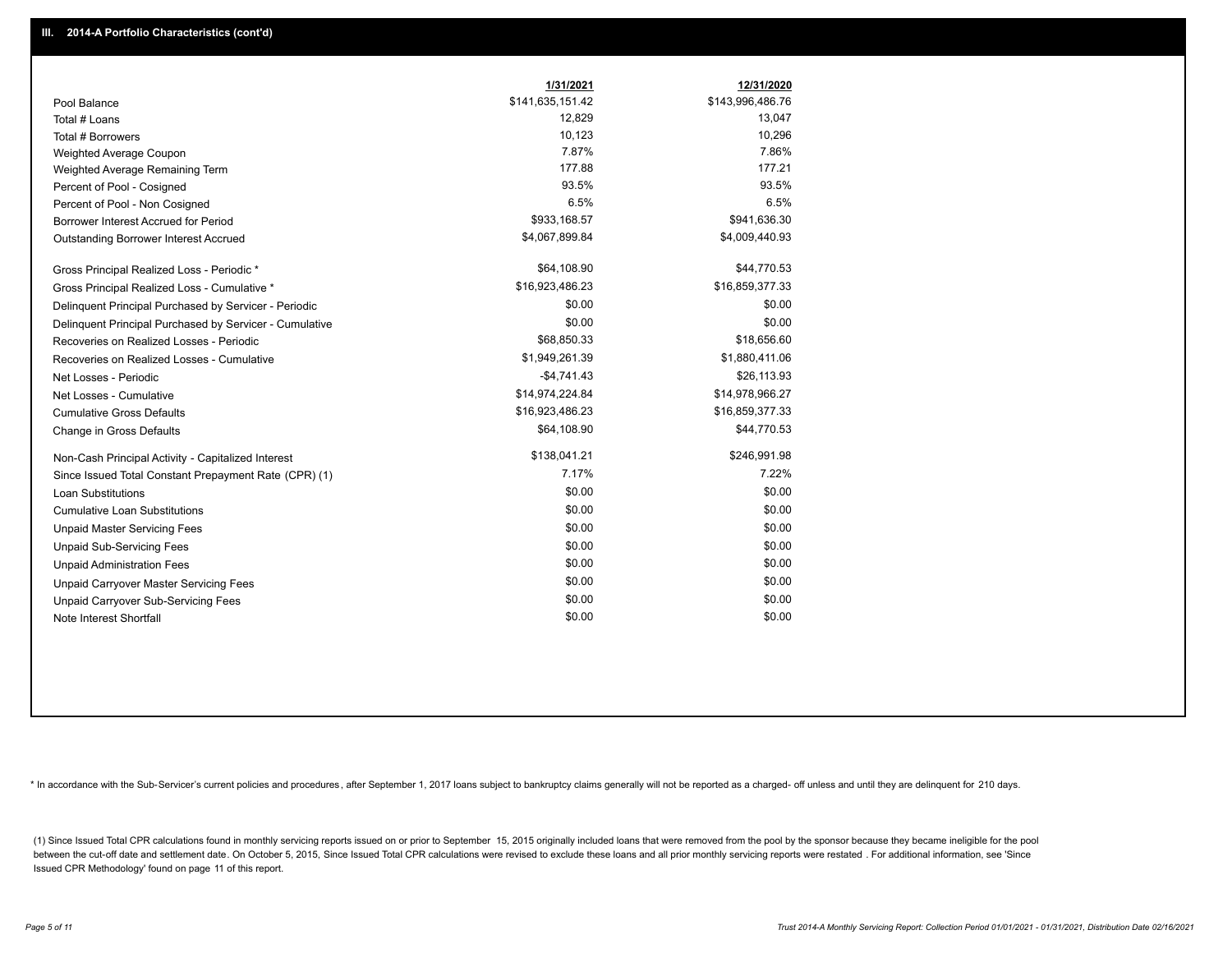|                                                         | 1/31/2021        | 12/31/2020       |
|---------------------------------------------------------|------------------|------------------|
| Pool Balance                                            | \$141,635,151.42 | \$143,996,486.76 |
| Total # Loans                                           | 12,829           | 13,047           |
| Total # Borrowers                                       | 10,123           | 10,296           |
| Weighted Average Coupon                                 | 7.87%            | 7.86%            |
| Weighted Average Remaining Term                         | 177.88           | 177.21           |
| Percent of Pool - Cosigned                              | 93.5%            | 93.5%            |
| Percent of Pool - Non Cosigned                          | 6.5%             | 6.5%             |
| Borrower Interest Accrued for Period                    | \$933,168.57     | \$941,636.30     |
| Outstanding Borrower Interest Accrued                   | \$4,067,899.84   | \$4,009,440.93   |
| Gross Principal Realized Loss - Periodic *              | \$64,108.90      | \$44,770.53      |
| Gross Principal Realized Loss - Cumulative *            | \$16,923,486.23  | \$16,859,377.33  |
| Delinquent Principal Purchased by Servicer - Periodic   | \$0.00           | \$0.00           |
| Delinquent Principal Purchased by Servicer - Cumulative | \$0.00           | \$0.00           |
| Recoveries on Realized Losses - Periodic                | \$68,850.33      | \$18,656.60      |
| Recoveries on Realized Losses - Cumulative              | \$1,949,261.39   | \$1,880,411.06   |
| Net Losses - Periodic                                   | $-$4,741.43$     | \$26,113.93      |
| Net Losses - Cumulative                                 | \$14,974,224.84  | \$14,978,966.27  |
| <b>Cumulative Gross Defaults</b>                        | \$16,923,486.23  | \$16,859,377.33  |
| Change in Gross Defaults                                | \$64,108.90      | \$44,770.53      |
| Non-Cash Principal Activity - Capitalized Interest      | \$138,041.21     | \$246,991.98     |
| Since Issued Total Constant Prepayment Rate (CPR) (1)   | 7.17%            | 7.22%            |
| <b>Loan Substitutions</b>                               | \$0.00           | \$0.00           |
| <b>Cumulative Loan Substitutions</b>                    | \$0.00           | \$0.00           |
| <b>Unpaid Master Servicing Fees</b>                     | \$0.00           | \$0.00           |
| <b>Unpaid Sub-Servicing Fees</b>                        | \$0.00           | \$0.00           |
| <b>Unpaid Administration Fees</b>                       | \$0.00           | \$0.00           |
| <b>Unpaid Carryover Master Servicing Fees</b>           | \$0.00           | \$0.00           |
| Unpaid Carryover Sub-Servicing Fees                     | \$0.00           | \$0.00           |
| Note Interest Shortfall                                 | \$0.00           | \$0.00           |

\* In accordance with the Sub-Servicer's current policies and procedures, after September 1, 2017 loans subject to bankruptcy claims generally will not be reported as a charged- off unless and until they are delinquent for

(1) Since Issued Total CPR calculations found in monthly servicing reports issued on or prior to September 15, 2015 originally included loans that were removed from the pool by the sponsor because they became ineligible fo between the cut-off date and settlement date. On October 5, 2015, Since Issued Total CPR calculations were revised to exclude these loans and all prior monthly servicing reports were restated. For additional information, s Issued CPR Methodology' found on page 11 of this report.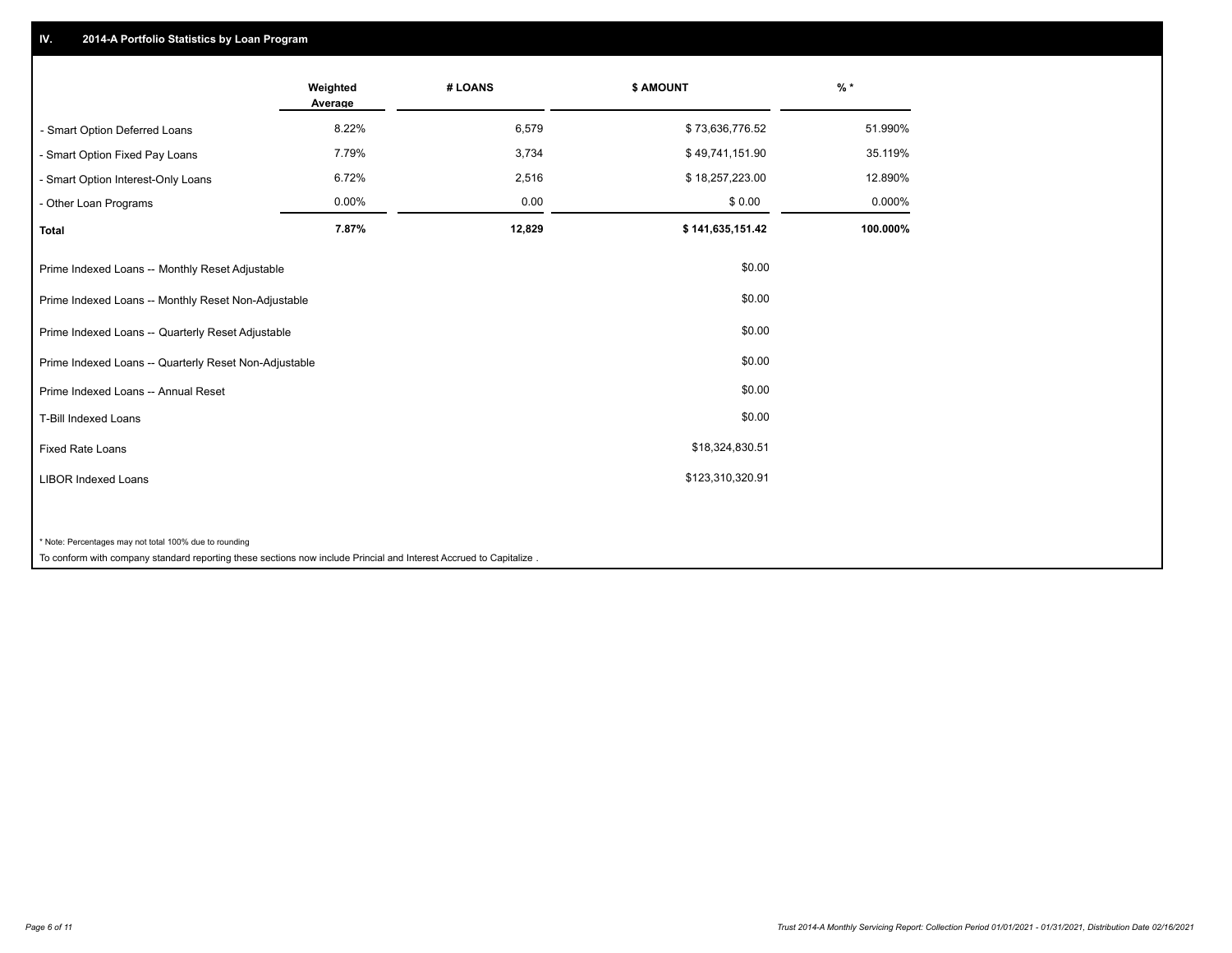## **IV. 2014-A Portfolio Statistics by Loan Program**

|                                                        | Weighted<br>Average | # LOANS | \$ AMOUNT        | $%$ *    |
|--------------------------------------------------------|---------------------|---------|------------------|----------|
| - Smart Option Deferred Loans                          | 8.22%               | 6,579   | \$73,636,776.52  | 51.990%  |
| - Smart Option Fixed Pay Loans                         | 7.79%               | 3,734   | \$49,741,151.90  | 35.119%  |
| - Smart Option Interest-Only Loans                     | 6.72%               | 2,516   | \$18,257,223.00  | 12.890%  |
| - Other Loan Programs                                  | 0.00%               | 0.00    | \$0.00           | 0.000%   |
| <b>Total</b>                                           | 7.87%               | 12,829  | \$141,635,151.42 | 100.000% |
| Prime Indexed Loans -- Monthly Reset Adjustable        |                     |         | \$0.00           |          |
| Prime Indexed Loans -- Monthly Reset Non-Adjustable    |                     |         | \$0.00           |          |
| Prime Indexed Loans -- Quarterly Reset Adjustable      |                     |         | \$0.00           |          |
| Prime Indexed Loans -- Quarterly Reset Non-Adjustable  |                     |         | \$0.00           |          |
| Prime Indexed Loans -- Annual Reset                    |                     |         | \$0.00           |          |
| <b>T-Bill Indexed Loans</b>                            |                     |         | \$0.00           |          |
| <b>Fixed Rate Loans</b>                                |                     |         | \$18,324,830.51  |          |
| <b>LIBOR Indexed Loans</b>                             |                     |         | \$123,310,320.91 |          |
|                                                        |                     |         |                  |          |
| * Note: Percentages may not total 100% due to rounding |                     |         |                  |          |

To conform with company standard reporting these sections now include Princial and Interest Accrued to Capitalize .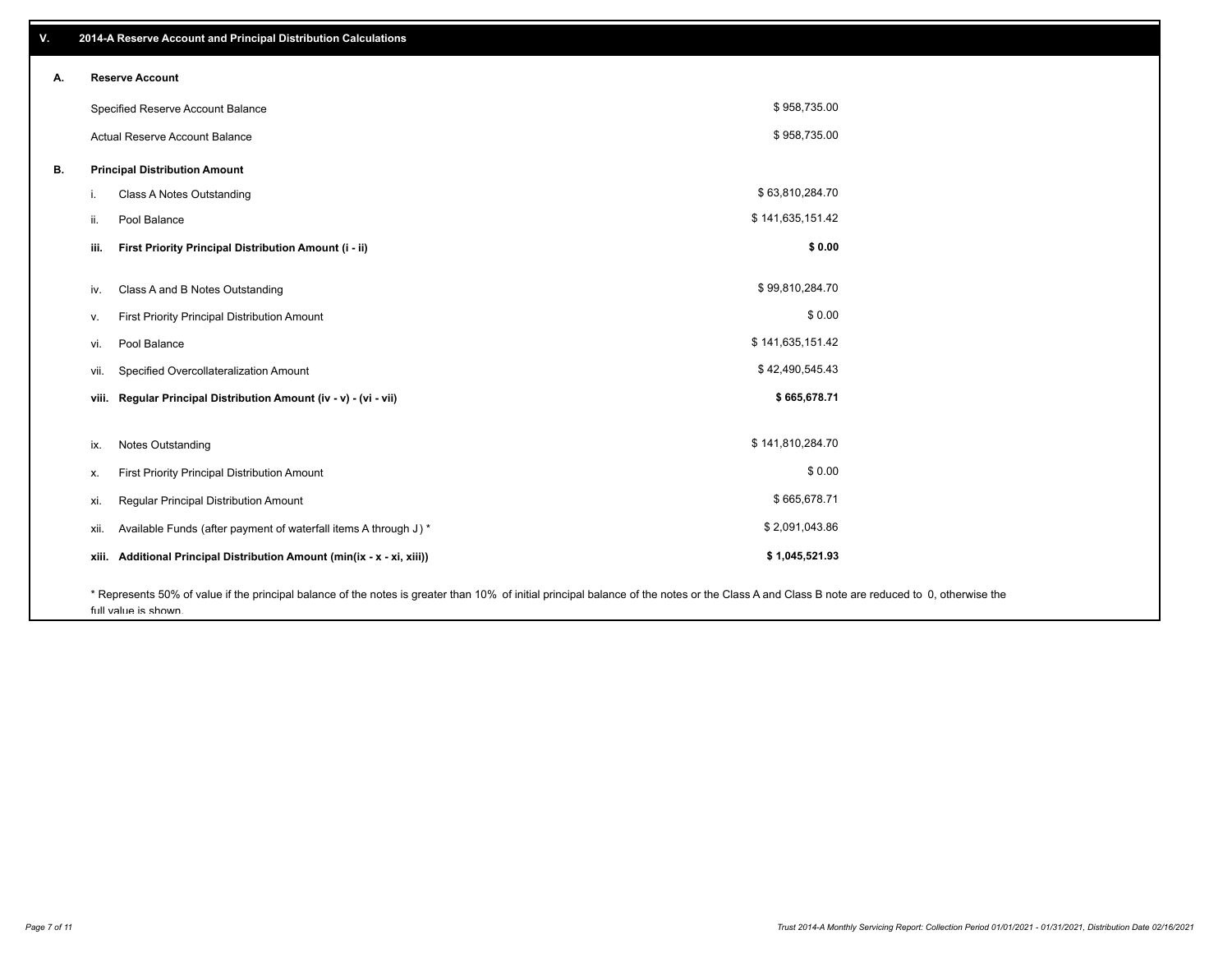| ۷. | 2014-A Reserve Account and Principal Distribution Calculations                                                                                                                                |                  |  |
|----|-----------------------------------------------------------------------------------------------------------------------------------------------------------------------------------------------|------------------|--|
| А. | <b>Reserve Account</b>                                                                                                                                                                        |                  |  |
|    | Specified Reserve Account Balance                                                                                                                                                             | \$958,735.00     |  |
|    | Actual Reserve Account Balance                                                                                                                                                                | \$958,735.00     |  |
| В. | <b>Principal Distribution Amount</b>                                                                                                                                                          |                  |  |
|    | <b>Class A Notes Outstanding</b><br>i.                                                                                                                                                        | \$63,810,284.70  |  |
|    | Pool Balance<br>ii.                                                                                                                                                                           | \$141,635,151.42 |  |
|    | First Priority Principal Distribution Amount (i - ii)<br>iii.                                                                                                                                 | \$0.00           |  |
|    | Class A and B Notes Outstanding<br>iv.                                                                                                                                                        | \$99,810,284.70  |  |
|    | First Priority Principal Distribution Amount<br>V.                                                                                                                                            | \$0.00           |  |
|    | Pool Balance<br>vi.                                                                                                                                                                           | \$141,635,151.42 |  |
|    | Specified Overcollateralization Amount<br>vii.                                                                                                                                                | \$42,490,545.43  |  |
|    | viii. Regular Principal Distribution Amount (iv - v) - (vi - vii)                                                                                                                             | \$665,678.71     |  |
|    |                                                                                                                                                                                               |                  |  |
|    | <b>Notes Outstanding</b><br>ix.                                                                                                                                                               | \$141,810,284.70 |  |
|    | First Priority Principal Distribution Amount<br>х.                                                                                                                                            | \$0.00           |  |
|    | Regular Principal Distribution Amount<br>xi.                                                                                                                                                  | \$665,678.71     |  |
|    | Available Funds (after payment of waterfall items A through J) *<br>xii.                                                                                                                      | \$2,091,043.86   |  |
|    | xiii. Additional Principal Distribution Amount (min(ix - x - xi, xiii))                                                                                                                       | \$1,045,521.93   |  |
|    | * Represents 50% of value if the principal balance of the notes is greater than 10% of initial principal balance of the notes or the Class A and Class B note are reduced to 0, otherwise the |                  |  |

full value is shown.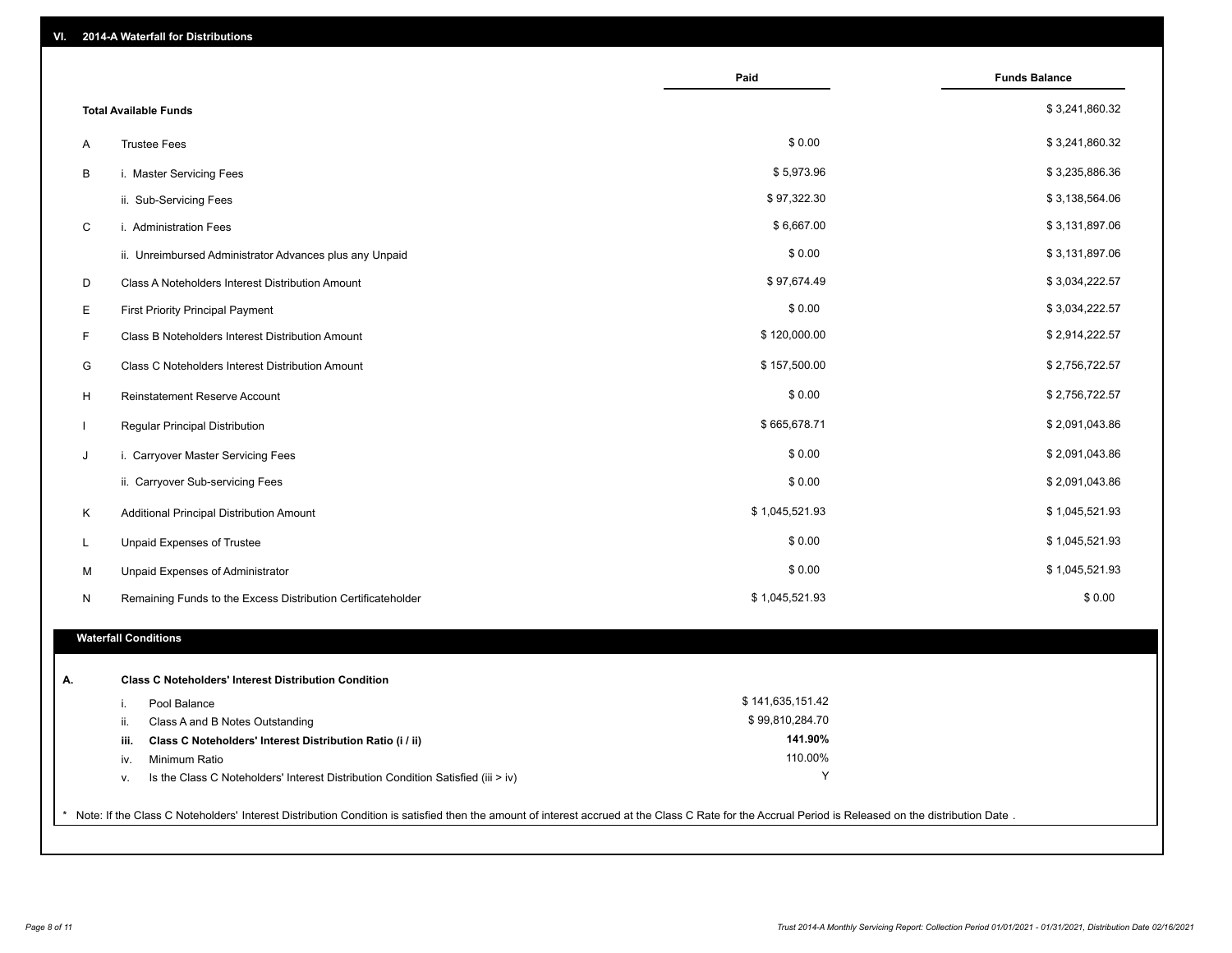| 2014-A Waterfall for Distributions<br>VI.                                                                                                                                                             |                    |                      |
|-------------------------------------------------------------------------------------------------------------------------------------------------------------------------------------------------------|--------------------|----------------------|
|                                                                                                                                                                                                       | Paid               | <b>Funds Balance</b> |
| <b>Total Available Funds</b>                                                                                                                                                                          |                    | \$3,241,860.32       |
| Α<br><b>Trustee Fees</b>                                                                                                                                                                              | \$0.00             | \$3,241,860.32       |
| B<br>i. Master Servicing Fees                                                                                                                                                                         | \$5,973.96         | \$3,235,886.36       |
| ii. Sub-Servicing Fees                                                                                                                                                                                | \$97,322.30        | \$3,138,564.06       |
| C<br>i. Administration Fees                                                                                                                                                                           | \$6,667.00         | \$3,131,897.06       |
| ii. Unreimbursed Administrator Advances plus any Unpaid                                                                                                                                               | \$0.00             | \$3,131,897.06       |
| D<br>Class A Noteholders Interest Distribution Amount                                                                                                                                                 | \$97,674.49        | \$3,034,222.57       |
| Е<br><b>First Priority Principal Payment</b>                                                                                                                                                          | \$0.00             | \$3,034,222.57       |
| F<br>Class B Noteholders Interest Distribution Amount                                                                                                                                                 | \$120,000.00       | \$2,914,222.57       |
| G<br>Class C Noteholders Interest Distribution Amount                                                                                                                                                 | \$157,500.00       | \$2,756,722.57       |
| н<br><b>Reinstatement Reserve Account</b>                                                                                                                                                             | \$0.00             | \$2,756,722.57       |
| Regular Principal Distribution                                                                                                                                                                        | \$665,678.71       | \$2,091,043.86       |
| i. Carryover Master Servicing Fees<br>J                                                                                                                                                               | \$0.00             | \$2,091,043.86       |
| ii. Carryover Sub-servicing Fees                                                                                                                                                                      | \$0.00             | \$2,091,043.86       |
| Κ<br>Additional Principal Distribution Amount                                                                                                                                                         | \$1,045,521.93     | \$1,045,521.93       |
| Unpaid Expenses of Trustee<br>L                                                                                                                                                                       | \$0.00             | \$1,045,521.93       |
| М<br>Unpaid Expenses of Administrator                                                                                                                                                                 | \$0.00             | \$1,045,521.93       |
| N<br>Remaining Funds to the Excess Distribution Certificateholder                                                                                                                                     | \$1,045,521.93     | \$0.00               |
| <b>Waterfall Conditions</b>                                                                                                                                                                           |                    |                      |
|                                                                                                                                                                                                       |                    |                      |
| <b>Class C Noteholders' Interest Distribution Condition</b><br>А.                                                                                                                                     |                    |                      |
| Pool Balance<br>i.                                                                                                                                                                                    | \$141,635,151.42   |                      |
| ii.<br>Class A and B Notes Outstanding                                                                                                                                                                | \$99,810,284.70    |                      |
| Class C Noteholders' Interest Distribution Ratio (i / ii)<br>iii.<br>Minimum Ratio                                                                                                                    | 141.90%<br>110.00% |                      |
| iv.<br>Is the Class C Noteholders' Interest Distribution Condition Satisfied (iii > iv)<br>v.                                                                                                         | Y                  |                      |
|                                                                                                                                                                                                       |                    |                      |
| * Note: If the Class C Noteholders' Interest Distribution Condition is satisfied then the amount of interest accrued at the Class C Rate for the Accrual Period is Released on the distribution Date. |                    |                      |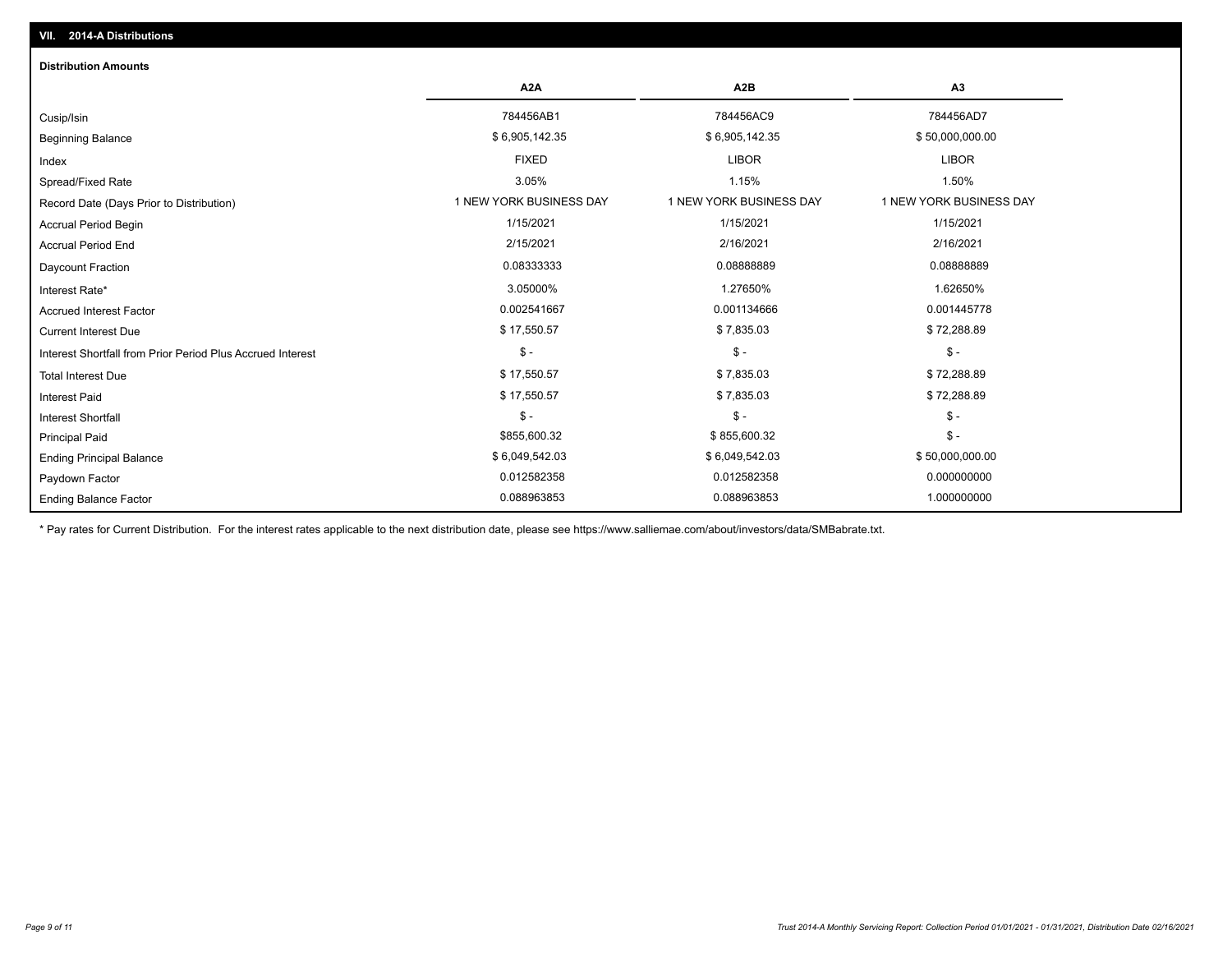| <b>Distribution Amounts</b>                                |                         |                         |                         |
|------------------------------------------------------------|-------------------------|-------------------------|-------------------------|
|                                                            | A <sub>2</sub> A        | A2B                     | A <sub>3</sub>          |
| Cusip/Isin                                                 | 784456AB1               | 784456AC9               | 784456AD7               |
| <b>Beginning Balance</b>                                   | \$6,905,142.35          | \$6,905,142.35          | \$50,000,000.00         |
| Index                                                      | <b>FIXED</b>            | <b>LIBOR</b>            | <b>LIBOR</b>            |
| Spread/Fixed Rate                                          | 3.05%                   | 1.15%                   | 1.50%                   |
| Record Date (Days Prior to Distribution)                   | 1 NEW YORK BUSINESS DAY | 1 NEW YORK BUSINESS DAY | 1 NEW YORK BUSINESS DAY |
| <b>Accrual Period Begin</b>                                | 1/15/2021               | 1/15/2021               | 1/15/2021               |
| <b>Accrual Period End</b>                                  | 2/15/2021               | 2/16/2021               | 2/16/2021               |
| Daycount Fraction                                          | 0.08333333              | 0.08888889              | 0.08888889              |
| Interest Rate*                                             | 3.05000%                | 1.27650%                | 1.62650%                |
| <b>Accrued Interest Factor</b>                             | 0.002541667             | 0.001134666             | 0.001445778             |
| <b>Current Interest Due</b>                                | \$17,550.57             | \$7,835.03              | \$72,288.89             |
| Interest Shortfall from Prior Period Plus Accrued Interest | $\mathsf{\$}$ -         | $$ -$                   | $\frac{2}{3}$ -         |
| <b>Total Interest Due</b>                                  | \$17,550.57             | \$7,835.03              | \$72,288.89             |
| <b>Interest Paid</b>                                       | \$17,550.57             | \$7,835.03              | \$72,288.89             |
| <b>Interest Shortfall</b>                                  | $\mathsf{\$}$ -         | $\mathsf{\$}$ -         | $$ -$                   |
| <b>Principal Paid</b>                                      | \$855,600.32            | \$855,600.32            | $$ -$                   |
| <b>Ending Principal Balance</b>                            | \$6,049,542.03          | \$6,049,542.03          | \$50,000,000.00         |
| Paydown Factor                                             | 0.012582358             | 0.012582358             | 0.000000000             |
| <b>Ending Balance Factor</b>                               | 0.088963853             | 0.088963853             | 1.000000000             |

\* Pay rates for Current Distribution. For the interest rates applicable to the next distribution date, please see https://www.salliemae.com/about/investors/data/SMBabrate.txt.

**VII. 2014-A Distributions**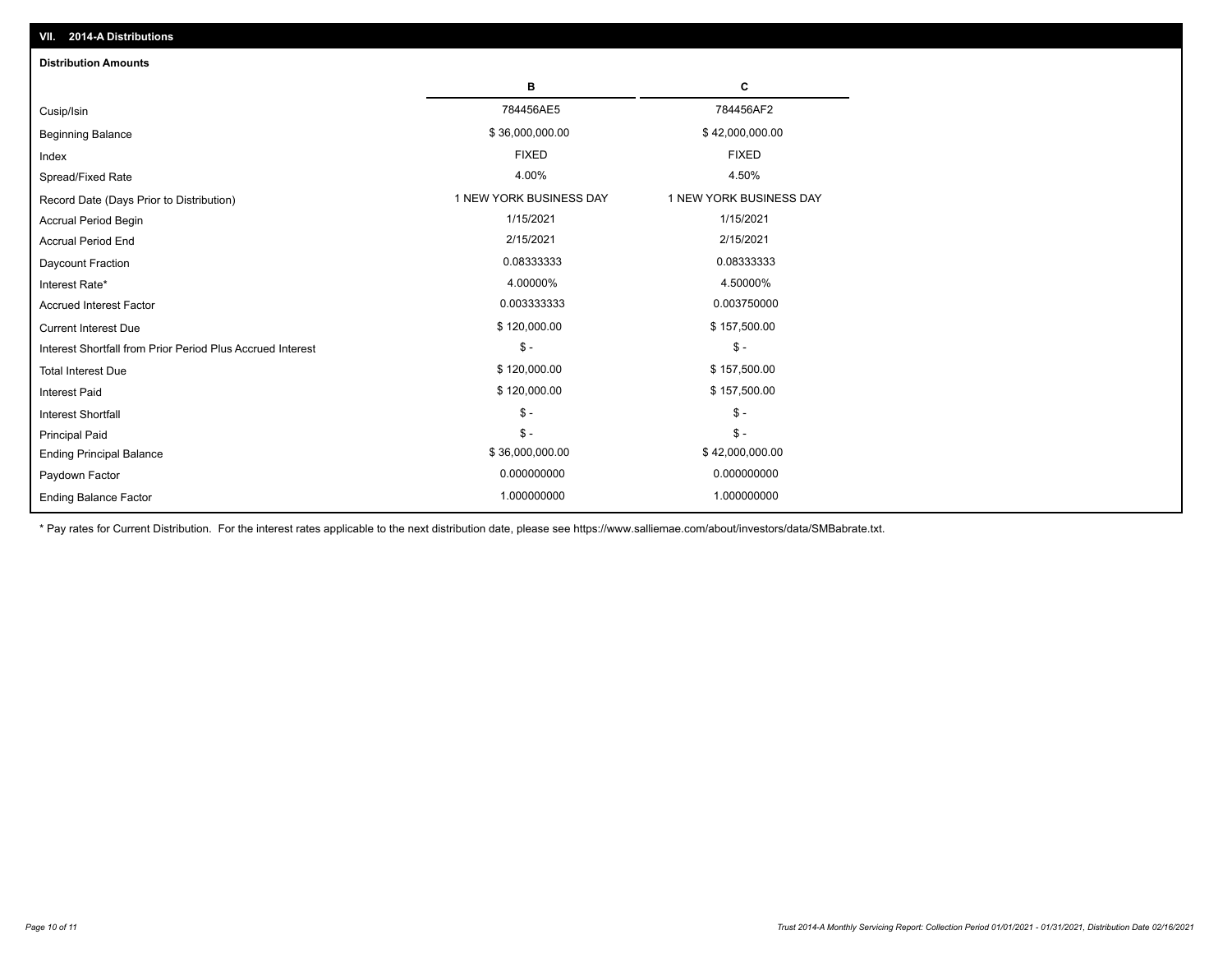| <b>Distribution Amounts</b>                                |                         |                         |
|------------------------------------------------------------|-------------------------|-------------------------|
|                                                            | в                       | C                       |
| Cusip/Isin                                                 | 784456AE5               | 784456AF2               |
| <b>Beginning Balance</b>                                   | \$36,000,000.00         | \$42,000,000.00         |
| Index                                                      | <b>FIXED</b>            | <b>FIXED</b>            |
| Spread/Fixed Rate                                          | 4.00%                   | 4.50%                   |
| Record Date (Days Prior to Distribution)                   | 1 NEW YORK BUSINESS DAY | 1 NEW YORK BUSINESS DAY |
| <b>Accrual Period Begin</b>                                | 1/15/2021               | 1/15/2021               |
| <b>Accrual Period End</b>                                  | 2/15/2021               | 2/15/2021               |
| Daycount Fraction                                          | 0.08333333              | 0.08333333              |
| Interest Rate*                                             | 4.00000%                | 4.50000%                |
| <b>Accrued Interest Factor</b>                             | 0.003333333             | 0.003750000             |
| <b>Current Interest Due</b>                                | \$120,000.00            | \$157,500.00            |
| Interest Shortfall from Prior Period Plus Accrued Interest | $\mathsf{\$}$ -         | $\mathsf{\$}$ -         |
| <b>Total Interest Due</b>                                  | \$120,000.00            | \$157,500.00            |
| <b>Interest Paid</b>                                       | \$120,000.00            | \$157,500.00            |
| <b>Interest Shortfall</b>                                  | $\frac{1}{2}$           | $$ -$                   |
| <b>Principal Paid</b>                                      | $\mathsf{\$}$ -         | $$ -$                   |
| <b>Ending Principal Balance</b>                            | \$36,000,000.00         | \$42,000,000.00         |
| Paydown Factor                                             | 0.000000000             | 0.000000000             |
| <b>Ending Balance Factor</b>                               | 1.000000000             | 1.000000000             |

\* Pay rates for Current Distribution. For the interest rates applicable to the next distribution date, please see https://www.salliemae.com/about/investors/data/SMBabrate.txt.

**VII. 2014-A Distributions**